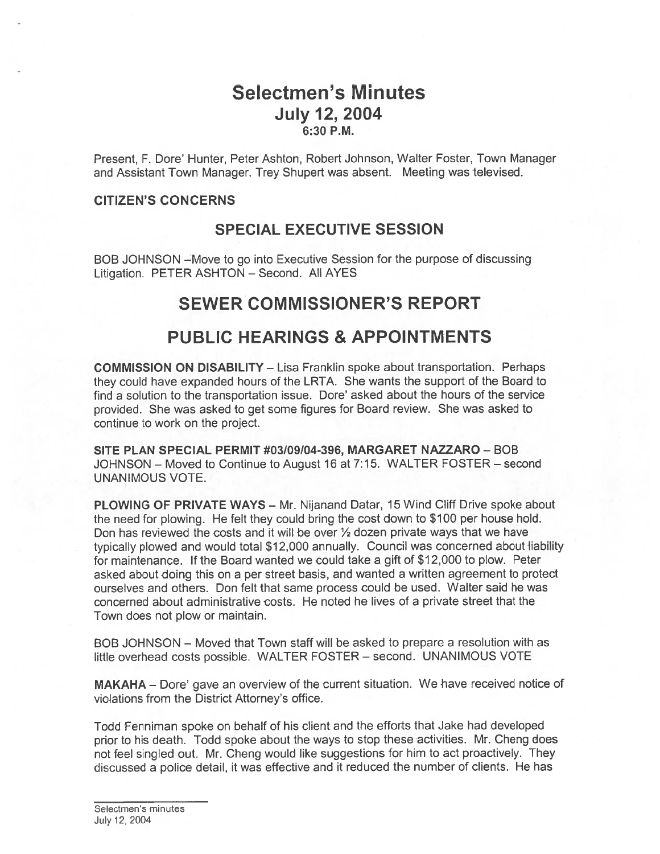# Selectmen's Minutes July 12, 2004 6:30 P.M.

Present, F. Dore' Hunter, Peter Ashton, Robert Johnson, Walter Foster, Town Manager and Assistant Town Manager. Trey Shupert was absent. Meeting was televised.

#### CITIZEN'S CONCERNS

## SPECIAL EXECUTIVE SESSION

BOB JOHNSON —Move to go into Executive Session for the purpose of discussing Litigation. PETER ASHTON — Second. All AYES

# SEWER COMMISSIONER'S REPORT

# PUBLIC HEARINGS & APPOINTMENTS

COMMISSION ON DISABILITY — Lisa Franklin spoke about transportation. Perhaps they could have expanded hours of the LRTA. She wants the suppor<sup>t</sup> of the Board to find <sup>a</sup> solution to the transportation issue. Dore' asked about the hours of the service provided. She was asked to ge<sup>t</sup> some figures for Board review. She was asked to continue to work on the project.

SITE PLAN SPECIAL PERMIT #03/09/04-396, MARGARET NAZZARO — BOB JOHNSON — Moved to Continue to August 16 at 7:15. WALTER FOSTER — second UNANIMOUS VOTE.

PLOWING OF PRIVATE WAYS — Mr. Nijanand Datar, 15 Wind Cliff Drive spoke about the need for plowing. He felt they could bring the cost down to \$100 per house hold. Don has reviewed the costs and it will be over  $\frac{1}{2}$  dozen private ways that we have typically plowed and would total \$12,000 annually. Council was concerned about liability for maintenance. If the Board wanted we could take <sup>a</sup> gift of \$12,000 to plow. Peter asked about doing this on <sup>a</sup> per street basis, and wanted <sup>a</sup> written agreemen<sup>t</sup> to protect ourselves and others. Don felt that same process could be used. Walter said he was concerned about administrative costs. He noted he lives of <sup>a</sup> private street that the Town does not plow or maintain.

BOB JOHNSON — Moved that Town staff will be asked to prepare <sup>a</sup> resolution with as little overhead costs possible. WALTER FOSTER — second. UNANIMOUS VOTE

MAKAHA – Dore' gave an overview of the current situation. We have received notice of violations from the District Attorney's office.

Todd Fenniman spoke on behalf of his client and the efforts that Jake had developed prior to his death. Todd spoke about the ways to stop these activities. Mr. Cheng does not feel singled out. Mr. Cheng would like suggestions for him to act proactively. They discussed <sup>a</sup> police detail, it was effective and it reduced the number of clients. He has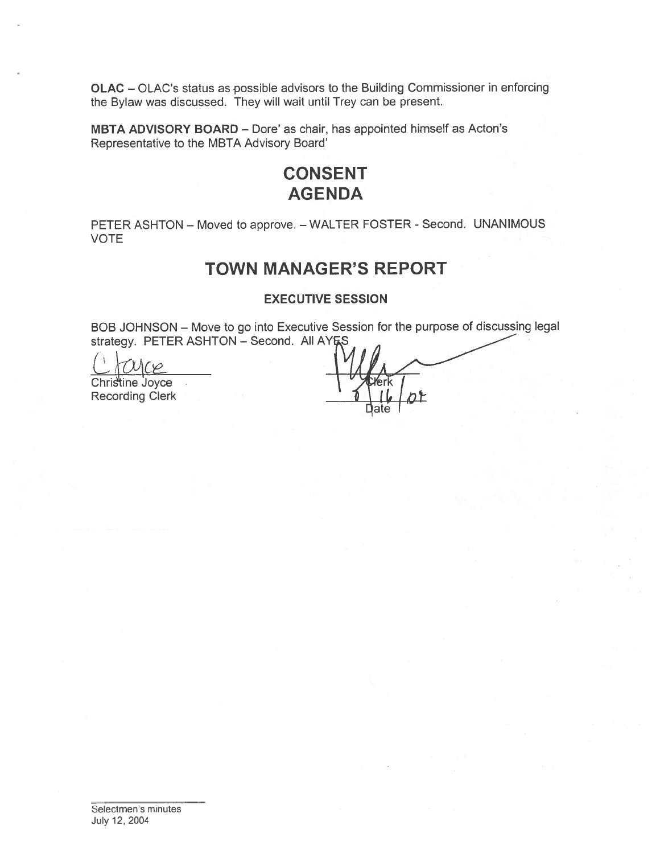OLAC - OLAC's status as possible advisors to the Building Commissioner in enforcing the Bylaw was discussed. They will wait until Trey can be present.

MBTA ADVISORY BOARD - Dore' as chair, has appointed himself as Acton's Representative to the MBTA Advisory Board'

# **CONSENT AGENDA**

PETER ASHTON - Moved to approve. - WALTER FOSTER - Second. UNANIMOUS **VOTE** 

# **TOWN MANAGER'S REPORT**

**EXECUTIVE SESSION** 

BOB JOHNSON - Move to go into Executive Session for the purpose of discussing legal strategy. PETER ASHTON - Second. All AYES

 $\sim$ 

Christine Joyce Recording Clerk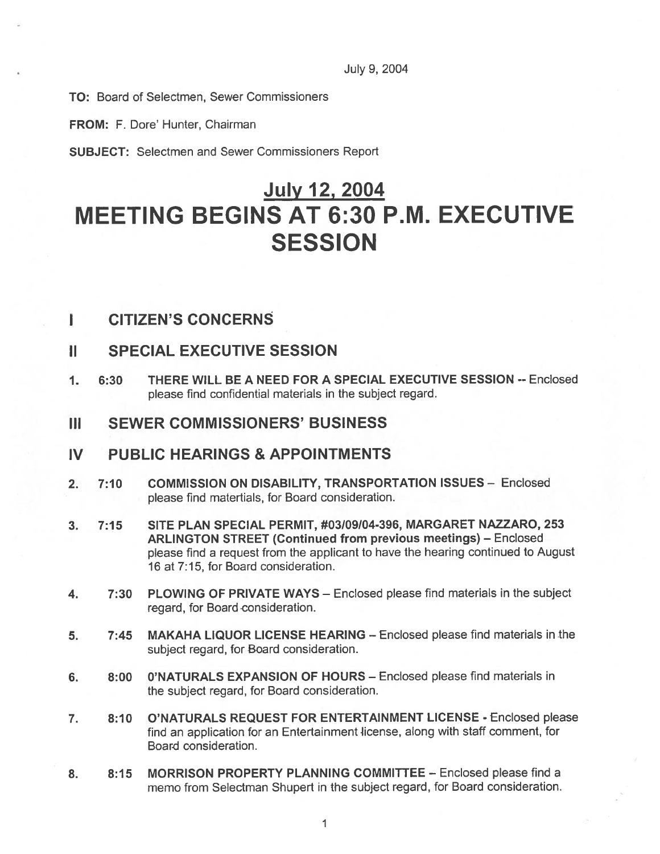July 9, 2004

TO: Board of Selectmen, Sewer Commissioners

FROM: F. Dore' Hunter, Chairman

SUBJECT: Selectmen and Sewer Commissioners Report

# July 12, 2004 MEETING BEGINS AT 6:30 P.M. EXECUTIVE **SESSION**

## I CITIZEN'S CONCERNS

## II SPECIAL EXECUTIVE SESSION

- 1. 6:30 THERE WILL BE A NEED FOR A SPECIAL EXECUTIVE SESSION --Enclosed please find confidential materials in the subject regard.
- III SEWER COMMISSIONERS' BUSINESS

## IV PUBLIC HEARINGS & APPOINTMENTS

- 2. 7:10 COMMISSION ON DISABILITY, TRANSPORTATION ISSUES Enclosed please find matertials, for Board consideration.
- 3. 7:15 SITE PLAN SPECIAL PERMIT, #03/09/04-396, MARGARET NAZZARO, 253 ARLINGTON STREET (Continued from previous meetings) — Enclosed <sup>p</sup>lease find <sup>a</sup> reques<sup>t</sup> from the applicant to have the hearing continued to August 16 at 7:15, for Board consideration.
- 4. 7:30 PLOWING OF PRIVATE WAYS Enclosed please find materials in the subject regard, for Board consideration.
- 5. 7:45 MAKAHA LIQUOR LICENSE HEARING Enclosed <sup>p</sup>lease find materials in the subject regard, for Board consideration.
- 6. 8:00 O'NATURALS EXPANSION OF HOURS Enclosed please find materials in the subject regard, for Board consideration.
- 7. 8:10 O'NATURALS REQUEST FOR ENTERTAINMENT LICENSE Enclosed please find an application for an Entertainment license, along with staff comment, for Board consideration.
- 8. 8:15 MORRISON PROPERTY PLANNING COMMITTEE Enclosed please find a memo from Selectman Shupert in the subject regard, for Board consideration.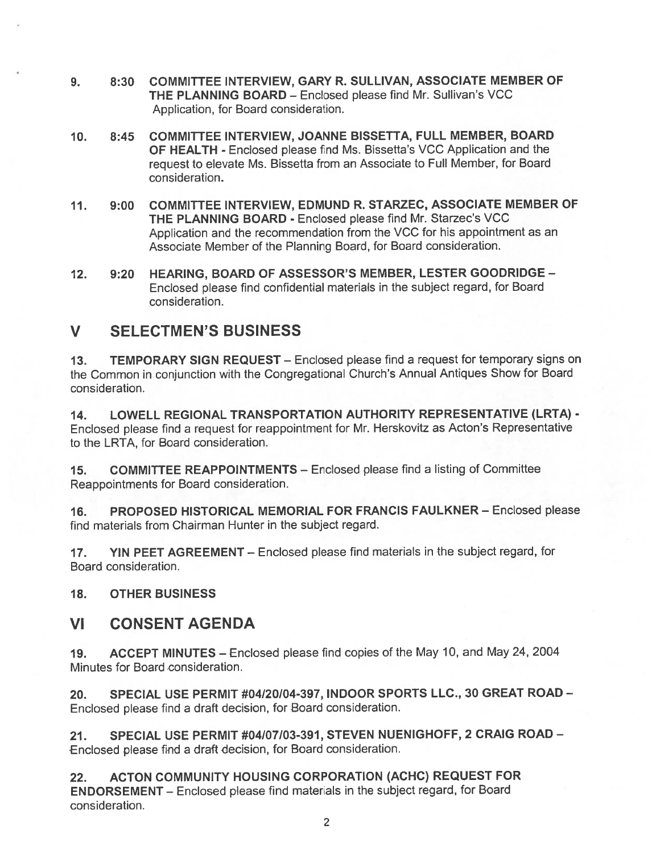- 9. 8:30 COMMITTEE INTERVIEW, GARY R. SULLIVAN, ASSOCIATE MEMBER OF THE PLANNING BOARD — Enclosed please find Mr. Sullivan's VCC Application, for Board consideration.
- 10. 8:45 COMMITTEE INTERVIEW, JOANNE BISSETTA, FULL MEMBER, BOARD OF HEALTH - Enclosed please find Ms. Bissetta's VCC Application and the reques<sup>t</sup> to elevate Ms. Bissetta from an Associate to Full Member, for Board consideration.
- 11. 9:00 COMMITTEE INTERVIEW, EDMUND R. STARZEC, ASSOCIATE MEMBER OF THE PLANNING BOARD - Enclosed please find Mr. Starzec's VCC Application and the recommendation from the VCC for his appointment as an Associate Member of the Planning Board, for Board consideration.
- 12. 9:20 HEARING, BOARD OF ASSESSOR'S MEMBER, LESTER GOODRIDGE Enclosed <sup>p</sup>lease find confidential materials in the subject regard, for Board consideration.

# V SELECTMEN'S BUSINESS

13. TEMPORARY SIGN REQUEST — Enclosed <sup>p</sup>lease find <sup>a</sup> reques<sup>t</sup> for temporary signs on the Common in conjunction with the Congregational Church's Annual Antiques Show for Board consideration.

14. LOWELL REGIONAL TRANSPORTATION AUTHORITY REPRESENTATIVE (LRTA) - Enclosed <sup>p</sup>lease find <sup>a</sup> reques<sup>t</sup> for reappointment for Mr. Herskovitz as Acton's Representative to the LRTA, for Board consideration.

15. COMMITTEE REAPPOINTMENTS — Enclosed please find <sup>a</sup> listing of Committee Reappointments for Board consideration.

16. PROPOSED HISTORICAL MEMORIAL FOR FRANCIS FAULKNER— Enclosed please find materials from Chairman Hunter in the subject regard.

17. YIN PEET AGREEMENT — Enclosed <sup>p</sup>lease find materials in the subject regard, for Board consideration.

18. OTHER BUSINESS

## Vi CONSENT AGENDA

19. ACCEPT MINUTES — Enclosed <sup>p</sup>lease find copies of the May 10, and May 24, 2004 Minutes for Board consideration.

20. SPECIAL USE PERMIT #04/20/04-397, INDOOR SPORTS LLC., 30 GREAT ROAD — Enclosed please find <sup>a</sup> draft decision, for Board consideration.

21. SPECIAL USE PERMIT #04/07103-391, STEVEN NUENIGHOFF, 2 CRAIG ROAD — Enclosed <sup>p</sup>lease find <sup>a</sup> draft decision, for Board consideration.

22. ACTON COMMUNITY HOUSING CORPORATION (ACHC) REQUEST FOR ENDORSEMENT — Enclosed <sup>p</sup>lease find materials in the subject regard, for Board consideration.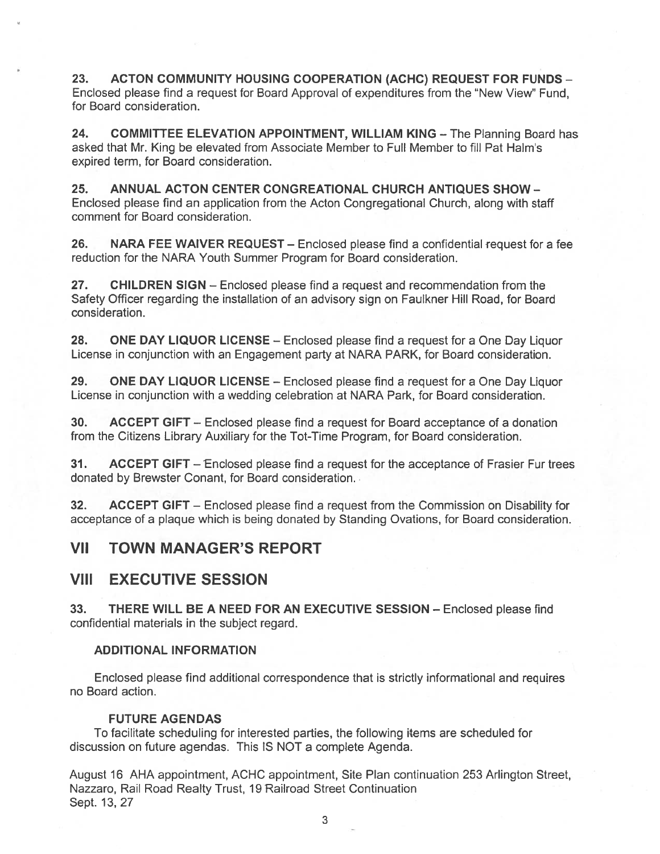23. ACTON COMMUNITY HOUSING COOPERATION (ACHC) REQUEST FOR FUNDS — Enclosed please find a request for Board Approval of expenditures from the "New View" Fund, for Board consideration.

24. COMMITTEE ELEVATION APPOINTMENT, WILLIAM KING - The Planning Board has asked that Mr. King be elevated from Associate Member to Full Member to fill Pat HaIm's expired term, for Board consideration.

25. ANNUAL ACTON CENTER CONGREATIONAL CHURCH ANTIQUES SHOW — Enclosed please find an application from the Acton Congregational Church, along with staff comment for Board consideration.

26. NARA FEE WAIVER REQUEST — Enclosed please find <sup>a</sup> confidential reques<sup>t</sup> for <sup>a</sup> fee reduction for the NARA Youth Summer Program for Board consideration.

27. CHILDREN SIGN — Enclosed please find <sup>a</sup> reques<sup>t</sup> and recommendation from the Safety Officer regarding the installation of an advisory sign on Faulkner Hill Road, for Board consideration.

28. ONE DAY LIQUOR LICENSE – Enclosed please find a request for a One Day Liquor License in conjunction with an Engagement party at NARA PARK, for Board consideration.

29. ONE DAY LIQUOR LICENSE - Enclosed please find a request for a One Day Liquor License in conjunction with <sup>a</sup> wedding celebration at NARA Park, for Board consideration.

30. ACCEPT GIFT — Enclosed please find <sup>a</sup> reques<sup>t</sup> for Board acceptance of <sup>a</sup> donation from the Citizens Library Auxiliary for the Tot-Time Program, for Board consideration.

31. ACCEPT GIFT – Enclosed please find a request for the acceptance of Frasier Fur trees donated by Brewster Conant, for Board consideration.

32. ACCEPT GIFT – Enclosed please find a request from the Commission on Disability for acceptance of <sup>a</sup> plaque which is being donated by Standing Ovations, for Board consideration.

## VII TOWN MANAGER'S REPORT

## VIII EXECUTIVE SESSION

33. THERE WILL BE A NEED FOR AN EXECUTIVE SESSION — Enclosed please find confidential materials in the subject regard.

#### ADDITIONAL INFORMATION

Enclosed please find additional correspondence that is strictly informational and requires no Board action.

#### FUTURE AGENDAS

To facilitate scheduling for interested parties, the following items are scheduled for discussion on future agendas. This IS NOT <sup>a</sup> complete Agenda.

August 16 AHA appointment, ACHC appointment, Site Plan continuation 253 Arlington Street, Nazzaro, Rail Road Realty Trust, 19 Railroad Street Continuation Sept. 13, 27

3